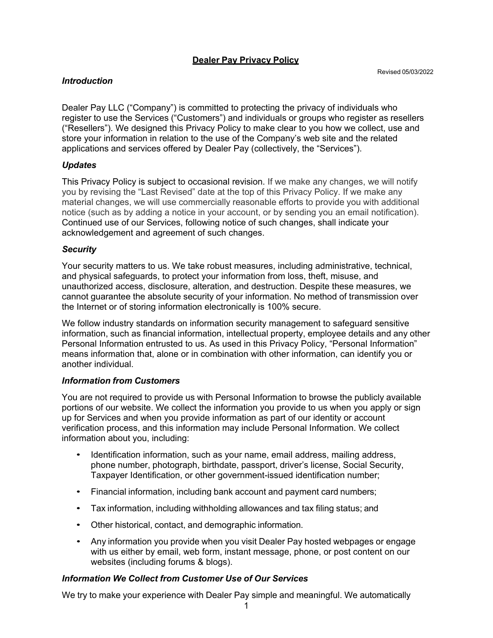## **Dealer Pay Privacy Policy**

### *Introduction*

Dealer Pay LLC ("Company") is committed to protecting the privacy of individuals who register to use the Services ("Customers") and individuals or groups who register as resellers ("Resellers"). We designed this Privacy Policy to make clear to you how we collect, use and store your information in relation to the use of the Company's web site and the related applications and services offered by Dealer Pay (collectively, the "Services").

## *Updates*

This Privacy Policy is subject to occasional revision. If we make any changes, we will notify you by revising the "Last Revised" date at the top of this Privacy Policy. If we make any material changes, we will use commercially reasonable efforts to provide you with additional notice (such as by adding a notice in your account, or by sending you an email notification). Continued use of our Services, following notice of such changes, shall indicate your acknowledgement and agreement of such changes.

## *Security*

Your security matters to us. We take robust measures, including administrative, technical, and physical safeguards, to protect your information from loss, theft, misuse, and unauthorized access, disclosure, alteration, and destruction. Despite these measures, we cannot guarantee the absolute security of your information. No method of transmission over the Internet or of storing information electronically is 100% secure.

We follow industry standards on information security management to safeguard sensitive information, such as financial information, intellectual property, employee details and any other Personal Information entrusted to us. As used in this Privacy Policy, "Personal Information" means information that, alone or in combination with other information, can identify you or another individual.

## *Information from Customers*

You are not required to provide us with Personal Information to browse the publicly available portions of our website. We collect the information you provide to us when you apply or sign up for Services and when you provide information as part of our identity or account verification process, and this information may include Personal Information. We collect information about you, including:

- Identification information, such as your name, email address, mailing address, phone number, photograph, birthdate, passport, driver's license, Social Security, Taxpayer Identification, or other government-issued identification number;
- Financial information, including bank account and payment card numbers;
- Tax information, including withholding allowances and tax filing status; and
- Other historical, contact, and demographic information.
- Any information you provide when you visit Dealer Pay hosted webpages or engage with us either by email, web form, instant message, phone, or post content on our websites (including forums & blogs).

# *Information We Collect from Customer Use of Our Services*

We try to make your experience with Dealer Pay simple and meaningful. We automatically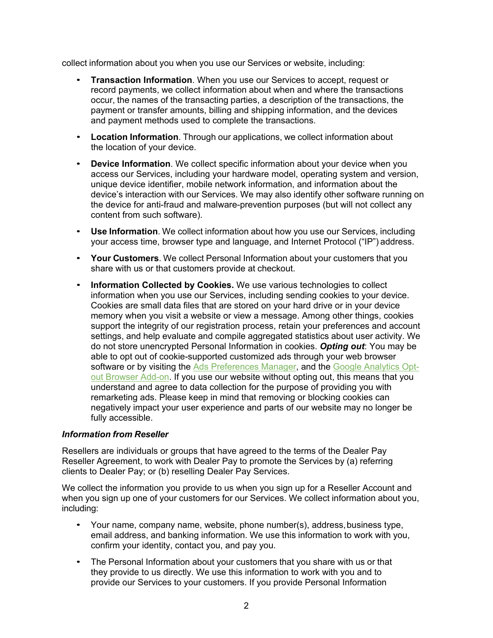collect information about you when you use our Services or website, including:

- **Transaction Information**. When you use our Services to accept, request or record payments, we collect information about when and where the transactions occur, the names of the transacting parties, a description of the transactions, the payment or transfer amounts, billing and shipping information, and the devices and payment methods used to complete the transactions.
- **Location Information**. Through our applications, we collect information about the location of your device.
- **Device Information**. We collect specific information about your device when you access our Services, including your hardware model, operating system and version, unique device identifier, mobile network information, and information about the device's interaction with our Services. We may also identify other software running on the device for anti-fraud and malware-prevention purposes (but will not collect any content from such software).
- **Use Information**. We collect information about how you use our Services, including your access time, browser type and language, and Internet Protocol ("IP") address.
- **Your Customers**. We collect Personal Information about your customers that you share with us or that customers provide at checkout.
- **Information Collected by Cookies.** We use various technologies to collect information when you use our Services, including sending cookies to your device. Cookies are small data files that are stored on your hard drive or in your device memory when you visit a website or view a message. Among other things, cookies support the integrity of our registration process, retain your preferences and account settings, and help evaluate and compile aggregated statistics about user activity. We do not store unencrypted Personal Information in cookies. *Opting out*: You may be able to opt out of cookie-supported customized ads through your web browser software or by visiting the Ads Preferences Manager, and the Google Analytics Optout Browser Add-on. If you use our website without opting out, this means that you understand and agree to data collection for the purpose of providing you with remarketing ads. Please keep in mind that removing or blocking cookies can negatively impact your user experience and parts of our website may no longer be fully accessible.

## *Information from Reseller*

Resellers are individuals or groups that have agreed to the terms of the Dealer Pay Reseller Agreement, to work with Dealer Pay to promote the Services by (a) referring clients to Dealer Pay; or (b) reselling Dealer Pay Services.

We collect the information you provide to us when you sign up for a Reseller Account and when you sign up one of your customers for our Services. We collect information about you, including:

- Your name, company name, website, phone number(s), address,business type, email address, and banking information. We use this information to work with you, confirm your identity, contact you, and pay you.
- The Personal Information about your customers that you share with us or that they provide to us directly. We use this information to work with you and to provide our Services to your customers. If you provide Personal Information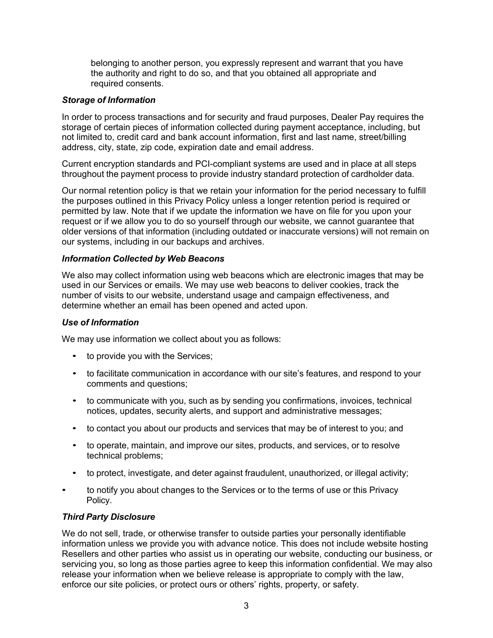belonging to another person, you expressly represent and warrant that you have the authority and right to do so, and that you obtained all appropriate and required consents.

### *Storage of Information*

In order to process transactions and for security and fraud purposes, Dealer Pay requires the storage of certain pieces of information collected during payment acceptance, including, but not limited to, credit card and bank account information, first and last name, street/billing address, city, state, zip code, expiration date and email address.

Current encryption standards and PCI-compliant systems are used and in place at all steps throughout the payment process to provide industry standard protection of cardholder data.

Our normal retention policy is that we retain your information for the period necessary to fulfill the purposes outlined in this Privacy Policy unless a longer retention period is required or permitted by law. Note that if we update the information we have on file for you upon your request or if we allow you to do so yourself through our website, we cannot guarantee that older versions of that information (including outdated or inaccurate versions) will not remain on our systems, including in our backups and archives.

### *Information Collected by Web Beacons*

We also may collect information using web beacons which are electronic images that may be used in our Services or emails. We may use web beacons to deliver cookies, track the number of visits to our website, understand usage and campaign effectiveness, and determine whether an email has been opened and acted upon.

#### *Use of Information*

We may use information we collect about you as follows:

- to provide you with the Services;
- to facilitate communication in accordance with our site's features, and respond to your comments and questions;
- to communicate with you, such as by sending you confirmations, invoices, technical notices, updates, security alerts, and support and administrative messages;
- to contact you about our products and services that may be of interest to you; and
- to operate, maintain, and improve our sites, products, and services, or to resolve technical problems;
- to protect, investigate, and deter against fraudulent, unauthorized, or illegal activity;
- to notify you about changes to the Services or to the terms of use or this Privacy Policy.

#### *Third Party Disclosure*

We do not sell, trade, or otherwise transfer to outside parties your personally identifiable information unless we provide you with advance notice. This does not include website hosting Resellers and other parties who assist us in operating our website, conducting our business, or servicing you, so long as those parties agree to keep this information confidential. We may also release your information when we believe release is appropriate to comply with the law, enforce our site policies, or protect ours or others' rights, property, or safety.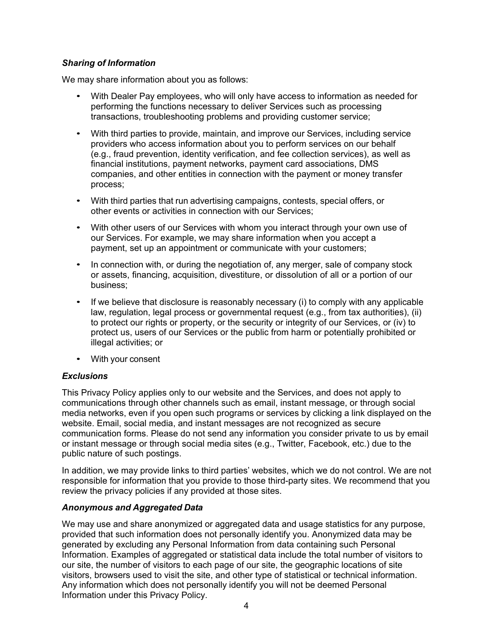# *Sharing of Information*

We may share information about you as follows:

- With Dealer Pay employees, who will only have access to information as needed for performing the functions necessary to deliver Services such as processing transactions, troubleshooting problems and providing customer service;
- With third parties to provide, maintain, and improve our Services, including service providers who access information about you to perform services on our behalf (e.g., fraud prevention, identity verification, and fee collection services), as well as financial institutions, payment networks, payment card associations, DMS companies, and other entities in connection with the payment or money transfer process;
- With third parties that run advertising campaigns, contests, special offers, or other events or activities in connection with our Services;
- With other users of our Services with whom you interact through your own use of our Services. For example, we may share information when you accept a payment, set up an appointment or communicate with your customers;
- In connection with, or during the negotiation of, any merger, sale of company stock or assets, financing, acquisition, divestiture, or dissolution of all or a portion of our business;
- If we believe that disclosure is reasonably necessary (i) to comply with any applicable law, regulation, legal process or governmental request (e.g., from tax authorities), (ii) to protect our rights or property, or the security or integrity of our Services, or (iv) to protect us, users of our Services or the public from harm or potentially prohibited or illegal activities; or
- With your consent

## *Exclusions*

This Privacy Policy applies only to our website and the Services, and does not apply to communications through other channels such as email, instant message, or through social media networks, even if you open such programs or services by clicking a link displayed on the website. Email, social media, and instant messages are not recognized as secure communication forms. Please do not send any information you consider private to us by email or instant message or through social media sites (e.g., Twitter, Facebook, etc.) due to the public nature of such postings.

In addition, we may provide links to third parties' websites, which we do not control. We are not responsible for information that you provide to those third-party sites. We recommend that you review the privacy policies if any provided at those sites.

## *Anonymous and Aggregated Data*

We may use and share anonymized or aggregated data and usage statistics for any purpose, provided that such information does not personally identify you. Anonymized data may be generated by excluding any Personal Information from data containing such Personal Information. Examples of aggregated or statistical data include the total number of visitors to our site, the number of visitors to each page of our site, the geographic locations of site visitors, browsers used to visit the site, and other type of statistical or technical information. Any information which does not personally identify you will not be deemed Personal Information under this Privacy Policy.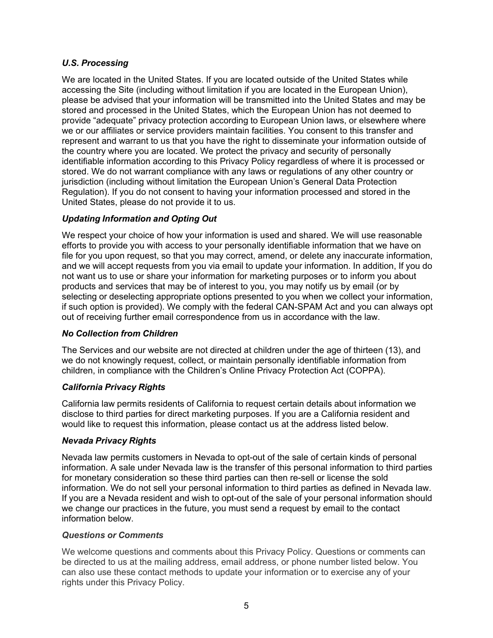# *U.S. Processing*

We are located in the United States. If you are located outside of the United States while accessing the Site (including without limitation if you are located in the European Union), please be advised that your information will be transmitted into the United States and may be stored and processed in the United States, which the European Union has not deemed to provide "adequate" privacy protection according to European Union laws, or elsewhere where we or our affiliates or service providers maintain facilities. You consent to this transfer and represent and warrant to us that you have the right to disseminate your information outside of the country where you are located. We protect the privacy and security of personally identifiable information according to this Privacy Policy regardless of where it is processed or stored. We do not warrant compliance with any laws or regulations of any other country or jurisdiction (including without limitation the European Union's General Data Protection Regulation). If you do not consent to having your information processed and stored in the United States, please do not provide it to us.

# *Updating Information and Opting Out*

We respect your choice of how your information is used and shared. We will use reasonable efforts to provide you with access to your personally identifiable information that we have on file for you upon request, so that you may correct, amend, or delete any inaccurate information, and we will accept requests from you via email to update your information. In addition, If you do not want us to use or share your information for marketing purposes or to inform you about products and services that may be of interest to you, you may notify us by email (or by selecting or deselecting appropriate options presented to you when we collect your information, if such option is provided). We comply with the federal CAN-SPAM Act and you can always opt out of receiving further email correspondence from us in accordance with the law.

## *No Collection from Children*

The Services and our website are not directed at children under the age of thirteen (13), and we do not knowingly request, collect, or maintain personally identifiable information from children, in compliance with the Children's Online Privacy Protection Act (COPPA).

## *California Privacy Rights*

California law permits residents of California to request certain details about information we disclose to third parties for direct marketing purposes. If you are a California resident and would like to request this information, please contact us at the address listed below.

## *Nevada Privacy Rights*

Nevada law permits customers in Nevada to opt-out of the sale of certain kinds of personal information. A sale under Nevada law is the transfer of this personal information to third parties for monetary consideration so these third parties can then re-sell or license the sold information. We do not sell your personal information to third parties as defined in Nevada law. If you are a Nevada resident and wish to opt-out of the sale of your personal information should we change our practices in the future, you must send a request by email to the contact information below.

### *Questions or Comments*

We welcome questions and comments about this Privacy Policy. Questions or comments can be directed to us at the mailing address, email address, or phone number listed below. You can also use these contact methods to update your information or to exercise any of your rights under this Privacy Policy.